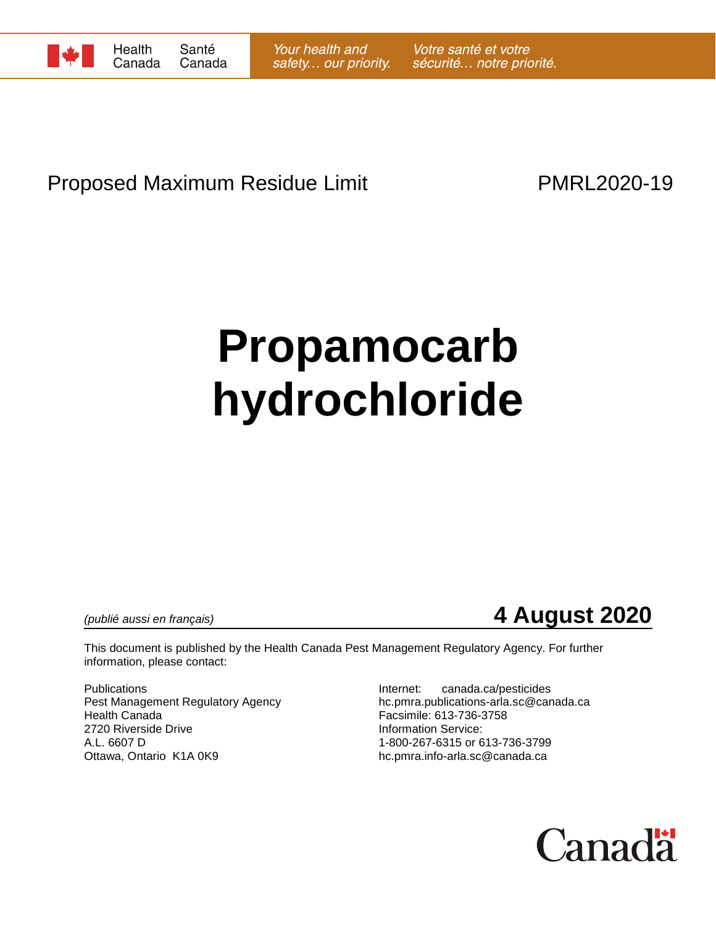

# Proposed Maximum Residue Limit **PMRL2020-19**

# **Propamocarb hydrochloride**

# *(publié aussi en français)* **4 August 2020**

This document is published by the Health Canada Pest Management Regulatory Agency. For further information, please contact:

Publications<br>
Pest Management Regulatory Agency<br>
Pest Management Regulatory Agency<br>
Internet: canada.ca/pesticides Health Canada Facsimile: 613-736-3758 2720 Riverside Drive **Information Service:**<br>A.L. 6607 D<br>A.L. 6607 D Ottawa, Ontario K1A 0K9 hc.pmra.info-arla.sc@canada.ca

hc.pmra.publications-arla.sc@canada.ca 1-800-267-6315 or 613-736-3799

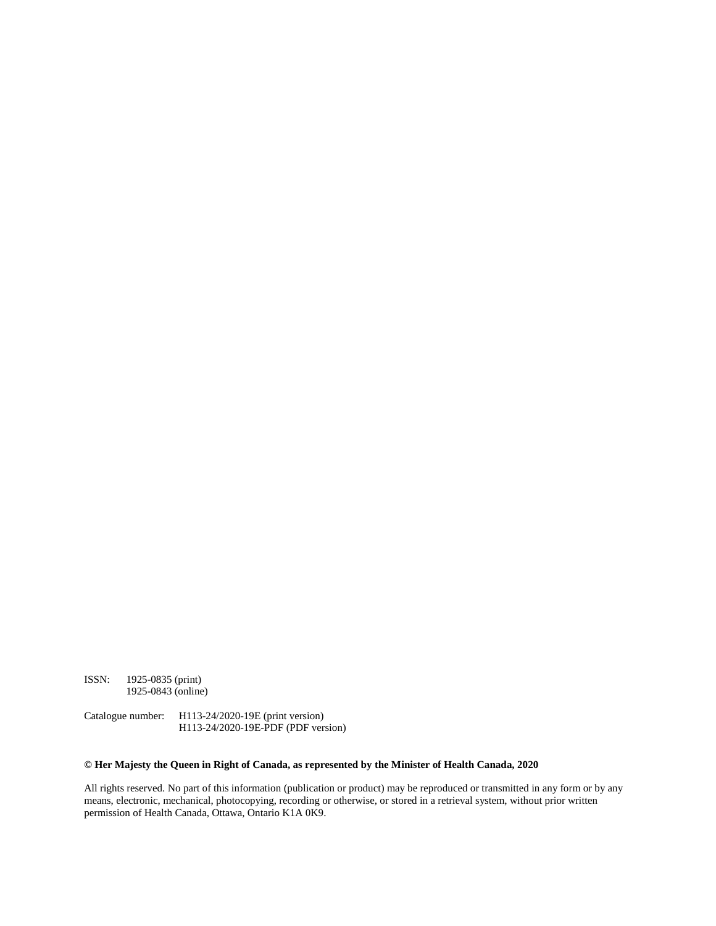ISSN: 1925-0835 (print) 1925-0843 (online)

Catalogue number: H113-24/2020-19E (print version) H113-24/2020-19E-PDF (PDF version)

#### **© Her Majesty the Queen in Right of Canada, as represented by the Minister of Health Canada, 2020**

All rights reserved. No part of this information (publication or product) may be reproduced or transmitted in any form or by any means, electronic, mechanical, photocopying, recording or otherwise, or stored in a retrieval system, without prior written permission of Health Canada, Ottawa, Ontario K1A 0K9.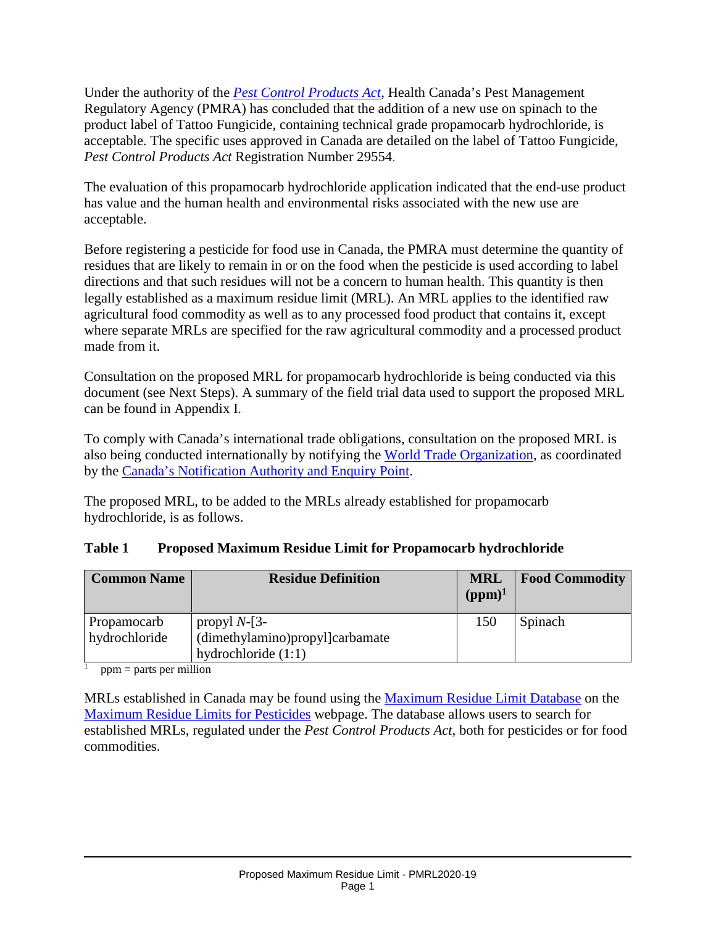Under the authority of the *[Pest Control Products Act](http://laws-lois.justice.gc.ca/eng/acts/P-9.01/)*, Health Canada's Pest Management Regulatory Agency (PMRA) has concluded that the addition of a new use on spinach to the product label of Tattoo Fungicide, containing technical grade propamocarb hydrochloride, is acceptable. The specific uses approved in Canada are detailed on the label of Tattoo Fungicide, *Pest Control Products Act* Registration Number 29554.

The evaluation of this propamocarb hydrochloride application indicated that the end-use product has value and the human health and environmental risks associated with the new use are acceptable.

Before registering a pesticide for food use in Canada, the PMRA must determine the quantity of residues that are likely to remain in or on the food when the pesticide is used according to label directions and that such residues will not be a concern to human health. This quantity is then legally established as a maximum residue limit (MRL). An MRL applies to the identified raw agricultural food commodity as well as to any processed food product that contains it, except where separate MRLs are specified for the raw agricultural commodity and a processed product made from it.

Consultation on the proposed MRL for propamocarb hydrochloride is being conducted via this document (see Next Steps). A summary of the field trial data used to support the proposed MRL can be found in Appendix I.

To comply with Canada's international trade obligations, consultation on the proposed MRL is also being conducted internationally by notifying the [World Trade Organization,](http://www.wto.org/) as coordinated by the [Canada's Notification Authority and Enquiry Point.](http://www.international.gc.ca/trade-agreements-accords-commerciaux/wto-omc/enquiry.aspx?lang=eng)

The proposed MRL, to be added to the MRLs already established for propamocarb hydrochloride, is as follows.

| <b>Table 1</b> | <b>Proposed Maximum Residue Limit for Propamocarb hydrochloride</b> |  |  |
|----------------|---------------------------------------------------------------------|--|--|
|                |                                                                     |  |  |

| <b>Common Name</b>           | <b>Residue Definition</b>                                                   | <b>MRL</b><br>$(ppm)^1$ | <b>Food Commodity</b> |
|------------------------------|-----------------------------------------------------------------------------|-------------------------|-----------------------|
| Propamocarb<br>hydrochloride | propyl $N-[3-]$<br>(dimethylamino)propyl]carbamate<br>hydrochloride $(1:1)$ | 150                     | <b>Spinach</b>        |

 $ppm =$  parts per million

MRLs established in Canada may be found using the [Maximum Residue Limit Database](http://pr-rp.hc-sc.gc.ca/mrl-lrm/index-eng.php) on the [Maximum Residue Limits for Pesticides](https://www.canada.ca/en/health-canada/services/consumer-product-safety/pesticides-pest-management/public/protecting-your-health-environment/pesticides-food/maximum-residue-limits-pesticides.html) webpage. The database allows users to search for established MRLs, regulated under the *Pest Control Products Act*, both for pesticides or for food commodities.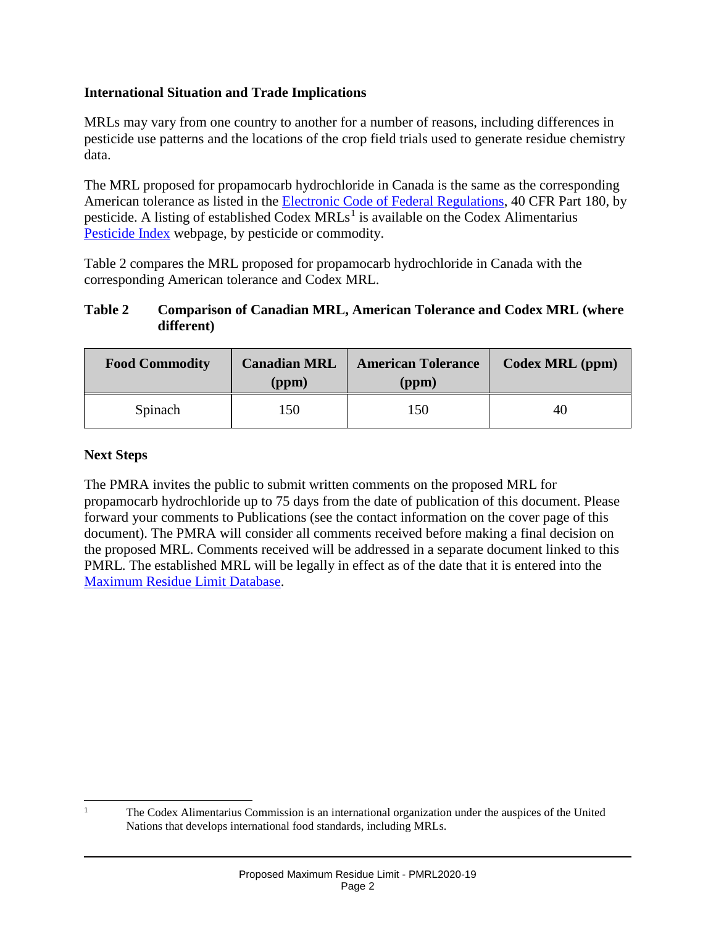#### **International Situation and Trade Implications**

MRLs may vary from one country to another for a number of reasons, including differences in pesticide use patterns and the locations of the crop field trials used to generate residue chemistry data.

The MRL proposed for propamocarb hydrochloride in Canada is the same as the corresponding American tolerance as listed in the [Electronic Code of Federal Regulations,](http://www.ecfr.gov/cgi-bin/retrieveECFR?gp=1&SID=ffae5f82b935173c30cb6e67e1ba3811&ty=HTML&h=L&n=pt40.24.180&r=PART) 40 CFR Part 180, by pesticide. A listing of established Codex  $MRLs<sup>1</sup>$  $MRLs<sup>1</sup>$  $MRLs<sup>1</sup>$  is available on the Codex Alimentarius [Pesticide Index](http://www.fao.org/fao-who-codexalimentarius/codex-texts/dbs/pestres/pesticides/en/) webpage, by pesticide or commodity.

Table 2 compares the MRL proposed for propamocarb hydrochloride in Canada with the corresponding American tolerance and Codex MRL.

#### **Table 2 Comparison of Canadian MRL, American Tolerance and Codex MRL (where different)**

| <b>Food Commodity</b> | <b>Canadian MRL</b><br>(ppm) | <b>American Tolerance</b><br>(ppm) | Codex MRL (ppm) |
|-----------------------|------------------------------|------------------------------------|-----------------|
| Spinach               | 150                          | .50                                | 40              |

#### **Next Steps**

The PMRA invites the public to submit written comments on the proposed MRL for propamocarb hydrochloride up to 75 days from the date of publication of this document. Please forward your comments to Publications (see the contact information on the cover page of this document). The PMRA will consider all comments received before making a final decision on the proposed MRL. Comments received will be addressed in a separate document linked to this PMRL. The established MRL will be legally in effect as of the date that it is entered into the [Maximum Residue Limit Database.](http://pr-rp.hc-sc.gc.ca/mrl-lrm/index-eng.php)

<span id="page-3-0"></span> <sup>1</sup> The Codex Alimentarius Commission is an international organization under the auspices of the United Nations that develops international food standards, including MRLs.